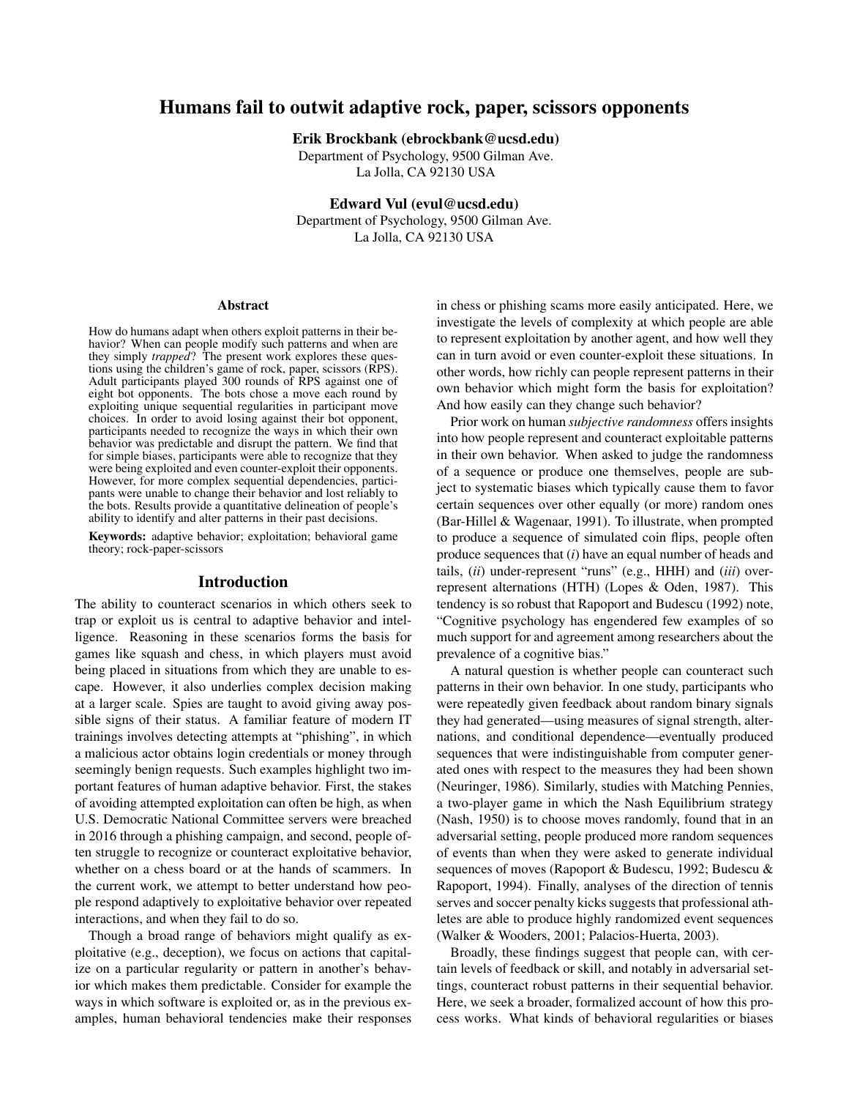# Humans fail to outwit adaptive rock, paper, scissors opponents

Erik Brockbank (ebrockbank@ucsd.edu)

Department of Psychology, 9500 Gilman Ave. La Jolla, CA 92130 USA

Edward Vul (evul@ucsd.edu) Department of Psychology, 9500 Gilman Ave. La Jolla, CA 92130 USA

#### Abstract

How do humans adapt when others exploit patterns in their behavior? When can people modify such patterns and when are they simply *trapped*? The present work explores these questions using the children's game of rock, paper, scissors (RPS). Adult participants played 300 rounds of RPS against one of eight bot opponents. The bots chose a move each round by exploiting unique sequential regularities in participant move choices. In order to avoid losing against their bot opponent, participants needed to recognize the ways in which their own behavior was predictable and disrupt the pattern. We find that for simple biases, participants were able to recognize that they were being exploited and even counter-exploit their opponents. However, for more complex sequential dependencies, participants were unable to change their behavior and lost reliably to the bots. Results provide a quantitative delineation of people's ability to identify and alter patterns in their past decisions.

Keywords: adaptive behavior; exploitation; behavioral game theory; rock-paper-scissors

## Introduction

The ability to counteract scenarios in which others seek to trap or exploit us is central to adaptive behavior and intelligence. Reasoning in these scenarios forms the basis for games like squash and chess, in which players must avoid being placed in situations from which they are unable to escape. However, it also underlies complex decision making at a larger scale. Spies are taught to avoid giving away possible signs of their status. A familiar feature of modern IT trainings involves detecting attempts at "phishing", in which a malicious actor obtains login credentials or money through seemingly benign requests. Such examples highlight two important features of human adaptive behavior. First, the stakes of avoiding attempted exploitation can often be high, as when U.S. Democratic National Committee servers were breached in 2016 through a phishing campaign, and second, people often struggle to recognize or counteract exploitative behavior, whether on a chess board or at the hands of scammers. In the current work, we attempt to better understand how people respond adaptively to exploitative behavior over repeated interactions, and when they fail to do so.

Though a broad range of behaviors might qualify as exploitative (e.g., deception), we focus on actions that capitalize on a particular regularity or pattern in another's behavior which makes them predictable. Consider for example the ways in which software is exploited or, as in the previous examples, human behavioral tendencies make their responses in chess or phishing scams more easily anticipated. Here, we investigate the levels of complexity at which people are able to represent exploitation by another agent, and how well they can in turn avoid or even counter-exploit these situations. In other words, how richly can people represent patterns in their own behavior which might form the basis for exploitation? And how easily can they change such behavior?

Prior work on human *subjective randomness* offers insights into how people represent and counteract exploitable patterns in their own behavior. When asked to judge the randomness of a sequence or produce one themselves, people are subject to systematic biases which typically cause them to favor certain sequences over other equally (or more) random ones (Bar-Hillel & Wagenaar, 1991). To illustrate, when prompted to produce a sequence of simulated coin flips, people often produce sequences that (*i*) have an equal number of heads and tails, (*ii*) under-represent "runs" (e.g., HHH) and (*iii*) overrepresent alternations (HTH) (Lopes & Oden, 1987). This tendency is so robust that Rapoport and Budescu (1992) note, "Cognitive psychology has engendered few examples of so much support for and agreement among researchers about the prevalence of a cognitive bias."

A natural question is whether people can counteract such patterns in their own behavior. In one study, participants who were repeatedly given feedback about random binary signals they had generated—using measures of signal strength, alternations, and conditional dependence—eventually produced sequences that were indistinguishable from computer generated ones with respect to the measures they had been shown (Neuringer, 1986). Similarly, studies with Matching Pennies, a two-player game in which the Nash Equilibrium strategy (Nash, 1950) is to choose moves randomly, found that in an adversarial setting, people produced more random sequences of events than when they were asked to generate individual sequences of moves (Rapoport & Budescu, 1992; Budescu & Rapoport, 1994). Finally, analyses of the direction of tennis serves and soccer penalty kicks suggests that professional athletes are able to produce highly randomized event sequences (Walker & Wooders, 2001; Palacios-Huerta, 2003).

Broadly, these findings suggest that people can, with certain levels of feedback or skill, and notably in adversarial settings, counteract robust patterns in their sequential behavior. Here, we seek a broader, formalized account of how this process works. What kinds of behavioral regularities or biases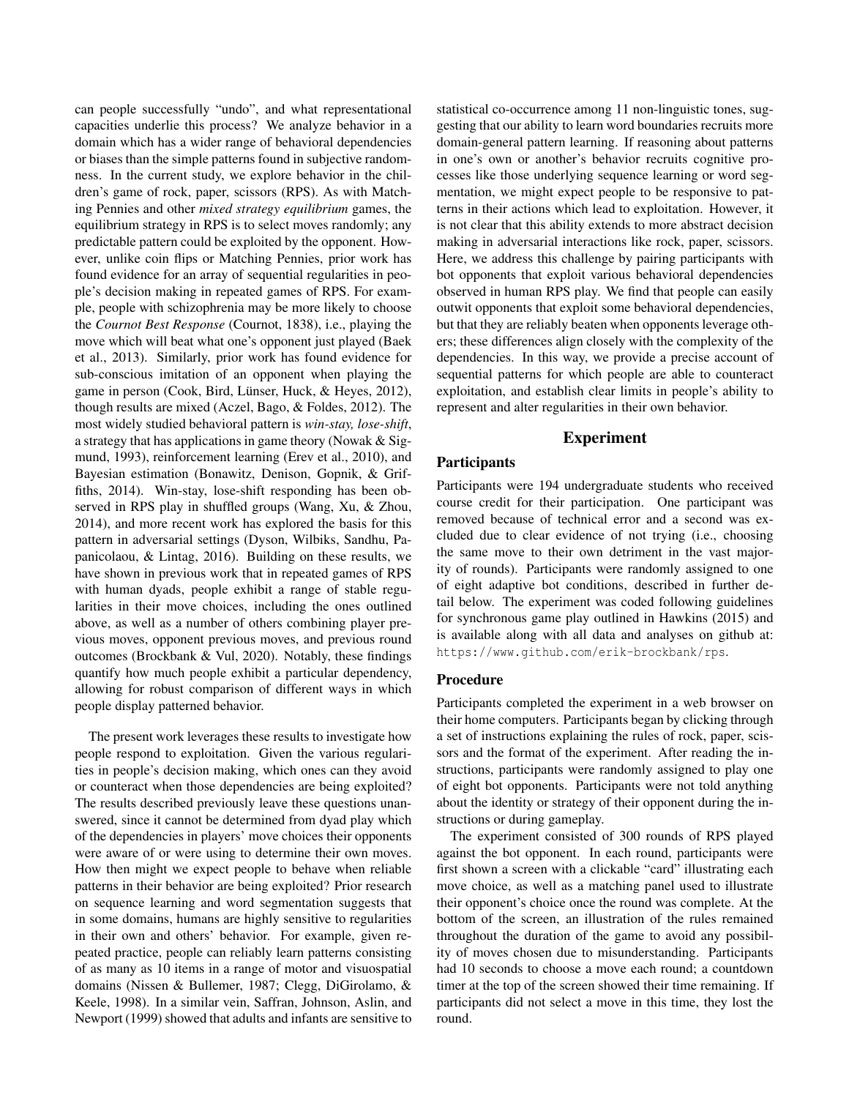can people successfully "undo", and what representational capacities underlie this process? We analyze behavior in a domain which has a wider range of behavioral dependencies or biases than the simple patterns found in subjective randomness. In the current study, we explore behavior in the children's game of rock, paper, scissors (RPS). As with Matching Pennies and other *mixed strategy equilibrium* games, the equilibrium strategy in RPS is to select moves randomly; any predictable pattern could be exploited by the opponent. However, unlike coin flips or Matching Pennies, prior work has found evidence for an array of sequential regularities in people's decision making in repeated games of RPS. For example, people with schizophrenia may be more likely to choose the *Cournot Best Response* (Cournot, 1838), i.e., playing the move which will beat what one's opponent just played (Baek et al., 2013). Similarly, prior work has found evidence for sub-conscious imitation of an opponent when playing the game in person (Cook, Bird, Lünser, Huck,  $\&$  Heyes, 2012), though results are mixed (Aczel, Bago, & Foldes, 2012). The most widely studied behavioral pattern is *win-stay, lose-shift*, a strategy that has applications in game theory (Nowak & Sigmund, 1993), reinforcement learning (Erev et al., 2010), and Bayesian estimation (Bonawitz, Denison, Gopnik, & Griffiths, 2014). Win-stay, lose-shift responding has been observed in RPS play in shuffled groups (Wang, Xu, & Zhou, 2014), and more recent work has explored the basis for this pattern in adversarial settings (Dyson, Wilbiks, Sandhu, Papanicolaou, & Lintag, 2016). Building on these results, we have shown in previous work that in repeated games of RPS with human dyads, people exhibit a range of stable regularities in their move choices, including the ones outlined above, as well as a number of others combining player previous moves, opponent previous moves, and previous round outcomes (Brockbank & Vul, 2020). Notably, these findings quantify how much people exhibit a particular dependency, allowing for robust comparison of different ways in which people display patterned behavior.

The present work leverages these results to investigate how people respond to exploitation. Given the various regularities in people's decision making, which ones can they avoid or counteract when those dependencies are being exploited? The results described previously leave these questions unanswered, since it cannot be determined from dyad play which of the dependencies in players' move choices their opponents were aware of or were using to determine their own moves. How then might we expect people to behave when reliable patterns in their behavior are being exploited? Prior research on sequence learning and word segmentation suggests that in some domains, humans are highly sensitive to regularities in their own and others' behavior. For example, given repeated practice, people can reliably learn patterns consisting of as many as 10 items in a range of motor and visuospatial domains (Nissen & Bullemer, 1987; Clegg, DiGirolamo, & Keele, 1998). In a similar vein, Saffran, Johnson, Aslin, and Newport (1999) showed that adults and infants are sensitive to statistical co-occurrence among 11 non-linguistic tones, suggesting that our ability to learn word boundaries recruits more domain-general pattern learning. If reasoning about patterns in one's own or another's behavior recruits cognitive processes like those underlying sequence learning or word segmentation, we might expect people to be responsive to patterns in their actions which lead to exploitation. However, it is not clear that this ability extends to more abstract decision making in adversarial interactions like rock, paper, scissors. Here, we address this challenge by pairing participants with bot opponents that exploit various behavioral dependencies observed in human RPS play. We find that people can easily outwit opponents that exploit some behavioral dependencies, but that they are reliably beaten when opponents leverage others; these differences align closely with the complexity of the dependencies. In this way, we provide a precise account of sequential patterns for which people are able to counteract exploitation, and establish clear limits in people's ability to represent and alter regularities in their own behavior.

# Experiment

#### **Participants**

Participants were 194 undergraduate students who received course credit for their participation. One participant was removed because of technical error and a second was excluded due to clear evidence of not trying (i.e., choosing the same move to their own detriment in the vast majority of rounds). Participants were randomly assigned to one of eight adaptive bot conditions, described in further detail below. The experiment was coded following guidelines for synchronous game play outlined in Hawkins (2015) and is available along with all data and analyses on github at: https://www.github.com/erik-brockbank/rps.

#### Procedure

Participants completed the experiment in a web browser on their home computers. Participants began by clicking through a set of instructions explaining the rules of rock, paper, scissors and the format of the experiment. After reading the instructions, participants were randomly assigned to play one of eight bot opponents. Participants were not told anything about the identity or strategy of their opponent during the instructions or during gameplay.

The experiment consisted of 300 rounds of RPS played against the bot opponent. In each round, participants were first shown a screen with a clickable "card" illustrating each move choice, as well as a matching panel used to illustrate their opponent's choice once the round was complete. At the bottom of the screen, an illustration of the rules remained throughout the duration of the game to avoid any possibility of moves chosen due to misunderstanding. Participants had 10 seconds to choose a move each round; a countdown timer at the top of the screen showed their time remaining. If participants did not select a move in this time, they lost the round.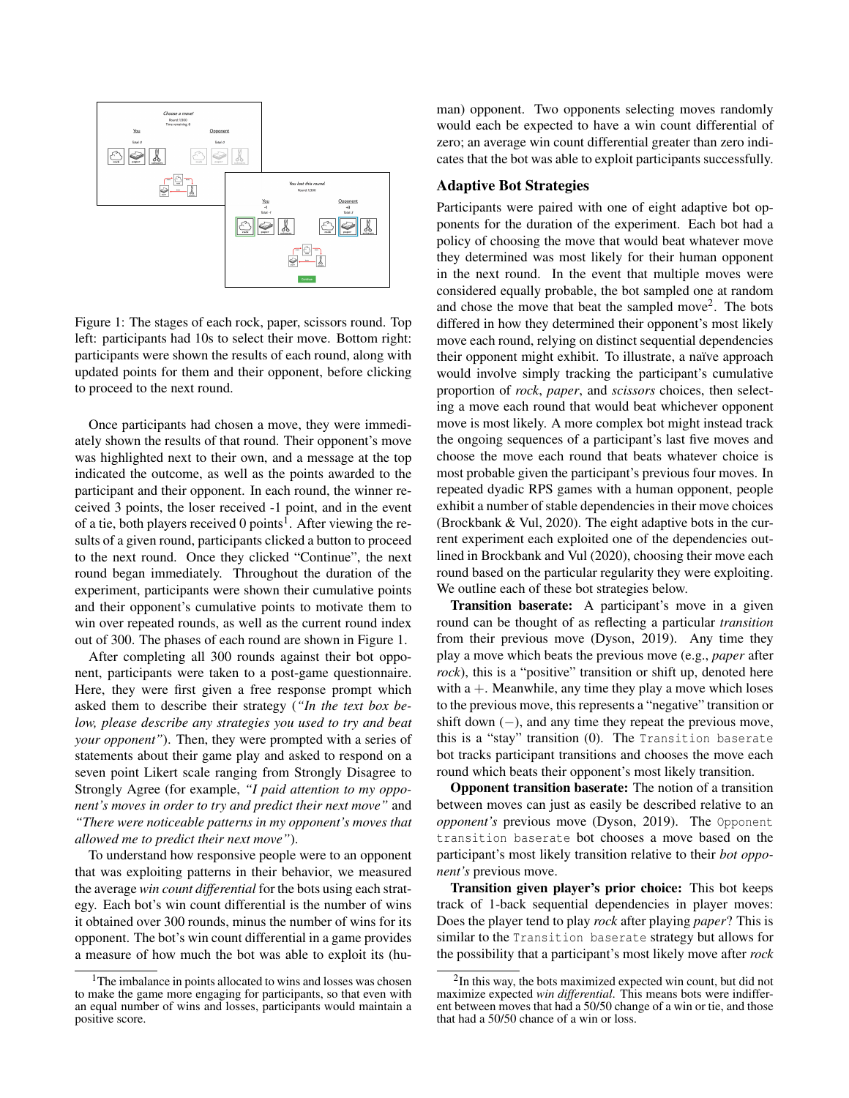

Figure 1: The stages of each rock, paper, scissors round. Top left: participants had 10s to select their move. Bottom right: participants were shown the results of each round, along with updated points for them and their opponent, before clicking to proceed to the next round.

Once participants had chosen a move, they were immediately shown the results of that round. Their opponent's move was highlighted next to their own, and a message at the top indicated the outcome, as well as the points awarded to the participant and their opponent. In each round, the winner received 3 points, the loser received -1 point, and in the event of a tie, both players received 0 points<sup>1</sup>. After viewing the results of a given round, participants clicked a button to proceed to the next round. Once they clicked "Continue", the next round began immediately. Throughout the duration of the experiment, participants were shown their cumulative points and their opponent's cumulative points to motivate them to win over repeated rounds, as well as the current round index out of 300. The phases of each round are shown in Figure 1.

After completing all 300 rounds against their bot opponent, participants were taken to a post-game questionnaire. Here, they were first given a free response prompt which asked them to describe their strategy (*"In the text box below, please describe any strategies you used to try and beat your opponent"*). Then, they were prompted with a series of statements about their game play and asked to respond on a seven point Likert scale ranging from Strongly Disagree to Strongly Agree (for example, *"I paid attention to my opponent's moves in order to try and predict their next move"* and *"There were noticeable patterns in my opponent's moves that allowed me to predict their next move"*).

To understand how responsive people were to an opponent that was exploiting patterns in their behavior, we measured the average *win count differential* for the bots using each strategy. Each bot's win count differential is the number of wins it obtained over 300 rounds, minus the number of wins for its opponent. The bot's win count differential in a game provides a measure of how much the bot was able to exploit its (hu-

<sup>1</sup>The imbalance in points allocated to wins and losses was chosen to make the game more engaging for participants, so that even with an equal number of wins and losses, participants would maintain a positive score.

man) opponent. Two opponents selecting moves randomly would each be expected to have a win count differential of zero; an average win count differential greater than zero indicates that the bot was able to exploit participants successfully.

### Adaptive Bot Strategies

Participants were paired with one of eight adaptive bot opponents for the duration of the experiment. Each bot had a policy of choosing the move that would beat whatever move they determined was most likely for their human opponent in the next round. In the event that multiple moves were considered equally probable, the bot sampled one at random and chose the move that beat the sampled move<sup>2</sup>. The bots differed in how they determined their opponent's most likely move each round, relying on distinct sequential dependencies their opponent might exhibit. To illustrate, a naïve approach would involve simply tracking the participant's cumulative proportion of *rock*, *paper*, and *scissors* choices, then selecting a move each round that would beat whichever opponent move is most likely. A more complex bot might instead track the ongoing sequences of a participant's last five moves and choose the move each round that beats whatever choice is most probable given the participant's previous four moves. In repeated dyadic RPS games with a human opponent, people exhibit a number of stable dependencies in their move choices (Brockbank & Vul, 2020). The eight adaptive bots in the current experiment each exploited one of the dependencies outlined in Brockbank and Vul (2020), choosing their move each round based on the particular regularity they were exploiting. We outline each of these bot strategies below.

Transition baserate: A participant's move in a given round can be thought of as reflecting a particular *transition* from their previous move (Dyson, 2019). Any time they play a move which beats the previous move (e.g., *paper* after *rock*), this is a "positive" transition or shift up, denoted here with  $a +$ . Meanwhile, any time they play a move which loses to the previous move, this represents a "negative" transition or shift down  $(-)$ , and any time they repeat the previous move, this is a "stay" transition (0). The Transition baserate bot tracks participant transitions and chooses the move each round which beats their opponent's most likely transition.

Opponent transition baserate: The notion of a transition between moves can just as easily be described relative to an *opponent's* previous move (Dyson, 2019). The Opponent transition baserate bot chooses a move based on the participant's most likely transition relative to their *bot opponent's* previous move.

Transition given player's prior choice: This bot keeps track of 1-back sequential dependencies in player moves: Does the player tend to play *rock* after playing *paper*? This is similar to the Transition baserate strategy but allows for the possibility that a participant's most likely move after *rock*

<sup>&</sup>lt;sup>2</sup>In this way, the bots maximized expected win count, but did not maximize expected *win differential*. This means bots were indifferent between moves that had a 50/50 change of a win or tie, and those that had a 50/50 chance of a win or loss.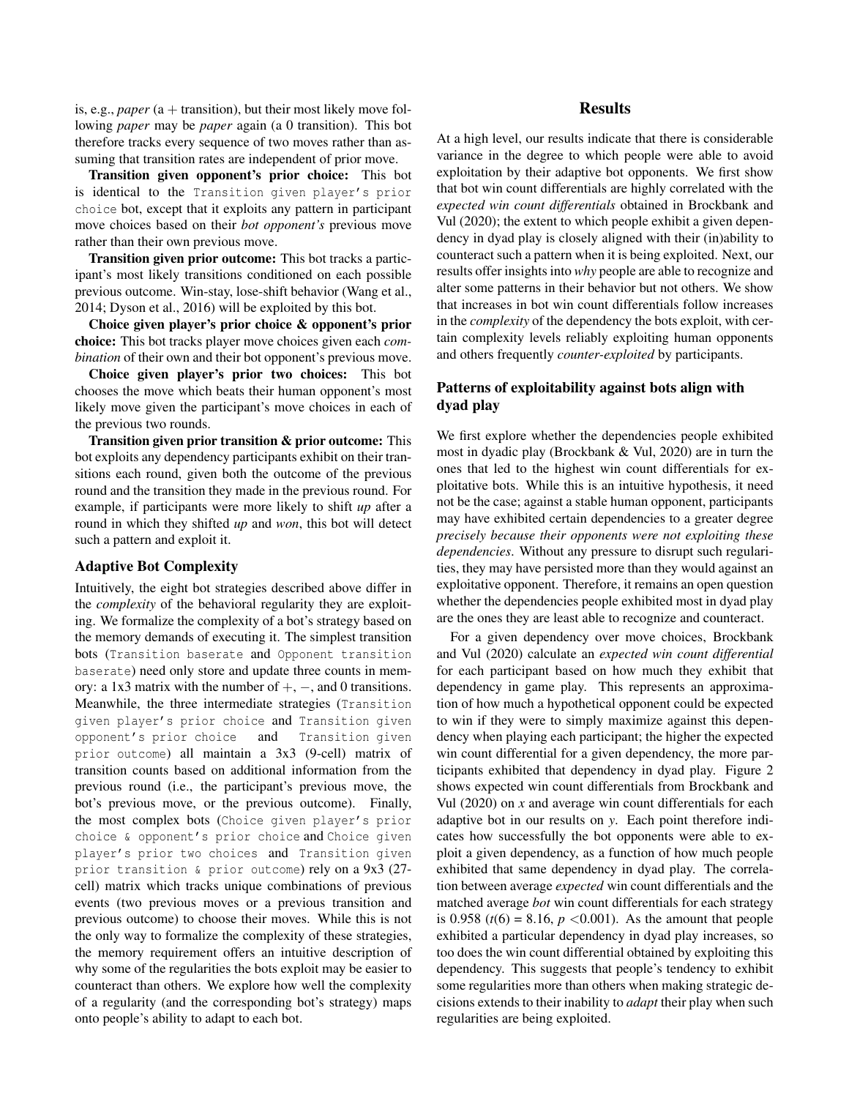is, e.g., *paper* (a  $+$  transition), but their most likely move following *paper* may be *paper* again (a 0 transition). This bot therefore tracks every sequence of two moves rather than assuming that transition rates are independent of prior move.

Transition given opponent's prior choice: This bot is identical to the Transition given player's prior choice bot, except that it exploits any pattern in participant move choices based on their *bot opponent's* previous move rather than their own previous move.

Transition given prior outcome: This bot tracks a participant's most likely transitions conditioned on each possible previous outcome. Win-stay, lose-shift behavior (Wang et al., 2014; Dyson et al., 2016) will be exploited by this bot.

Choice given player's prior choice & opponent's prior choice: This bot tracks player move choices given each *combination* of their own and their bot opponent's previous move.

Choice given player's prior two choices: This bot chooses the move which beats their human opponent's most likely move given the participant's move choices in each of the previous two rounds.

Transition given prior transition & prior outcome: This bot exploits any dependency participants exhibit on their transitions each round, given both the outcome of the previous round and the transition they made in the previous round. For example, if participants were more likely to shift *up* after a round in which they shifted *up* and *won*, this bot will detect such a pattern and exploit it.

#### Adaptive Bot Complexity

Intuitively, the eight bot strategies described above differ in the *complexity* of the behavioral regularity they are exploiting. We formalize the complexity of a bot's strategy based on the memory demands of executing it. The simplest transition bots (Transition baserate and Opponent transition baserate) need only store and update three counts in memory: a 1x3 matrix with the number of  $+$ ,  $-$ , and 0 transitions. Meanwhile, the three intermediate strategies (Transition given player's prior choice and Transition given opponent's prior choice and Transition given prior outcome) all maintain a 3x3 (9-cell) matrix of transition counts based on additional information from the previous round (i.e., the participant's previous move, the bot's previous move, or the previous outcome). Finally, the most complex bots (Choice given player's prior choice & opponent's prior choice and Choice given player's prior two choices and Transition given prior transition & prior outcome) rely on a 9x3 (27 cell) matrix which tracks unique combinations of previous events (two previous moves or a previous transition and previous outcome) to choose their moves. While this is not the only way to formalize the complexity of these strategies, the memory requirement offers an intuitive description of why some of the regularities the bots exploit may be easier to counteract than others. We explore how well the complexity of a regularity (and the corresponding bot's strategy) maps onto people's ability to adapt to each bot.

# Results

At a high level, our results indicate that there is considerable variance in the degree to which people were able to avoid exploitation by their adaptive bot opponents. We first show that bot win count differentials are highly correlated with the *expected win count differentials* obtained in Brockbank and Vul (2020); the extent to which people exhibit a given dependency in dyad play is closely aligned with their (in)ability to counteract such a pattern when it is being exploited. Next, our results offer insights into *why* people are able to recognize and alter some patterns in their behavior but not others. We show that increases in bot win count differentials follow increases in the *complexity* of the dependency the bots exploit, with certain complexity levels reliably exploiting human opponents and others frequently *counter-exploited* by participants.

# Patterns of exploitability against bots align with dyad play

We first explore whether the dependencies people exhibited most in dyadic play (Brockbank & Vul, 2020) are in turn the ones that led to the highest win count differentials for exploitative bots. While this is an intuitive hypothesis, it need not be the case; against a stable human opponent, participants may have exhibited certain dependencies to a greater degree *precisely because their opponents were not exploiting these dependencies*. Without any pressure to disrupt such regularities, they may have persisted more than they would against an exploitative opponent. Therefore, it remains an open question whether the dependencies people exhibited most in dyad play are the ones they are least able to recognize and counteract.

For a given dependency over move choices, Brockbank and Vul (2020) calculate an *expected win count differential* for each participant based on how much they exhibit that dependency in game play. This represents an approximation of how much a hypothetical opponent could be expected to win if they were to simply maximize against this dependency when playing each participant; the higher the expected win count differential for a given dependency, the more participants exhibited that dependency in dyad play. Figure 2 shows expected win count differentials from Brockbank and Vul (2020) on *x* and average win count differentials for each adaptive bot in our results on *y*. Each point therefore indicates how successfully the bot opponents were able to exploit a given dependency, as a function of how much people exhibited that same dependency in dyad play. The correlation between average *expected* win count differentials and the matched average *bot* win count differentials for each strategy is 0.958 ( $t(6) = 8.16$ ,  $p < 0.001$ ). As the amount that people exhibited a particular dependency in dyad play increases, so too does the win count differential obtained by exploiting this dependency. This suggests that people's tendency to exhibit some regularities more than others when making strategic decisions extends to their inability to *adapt* their play when such regularities are being exploited.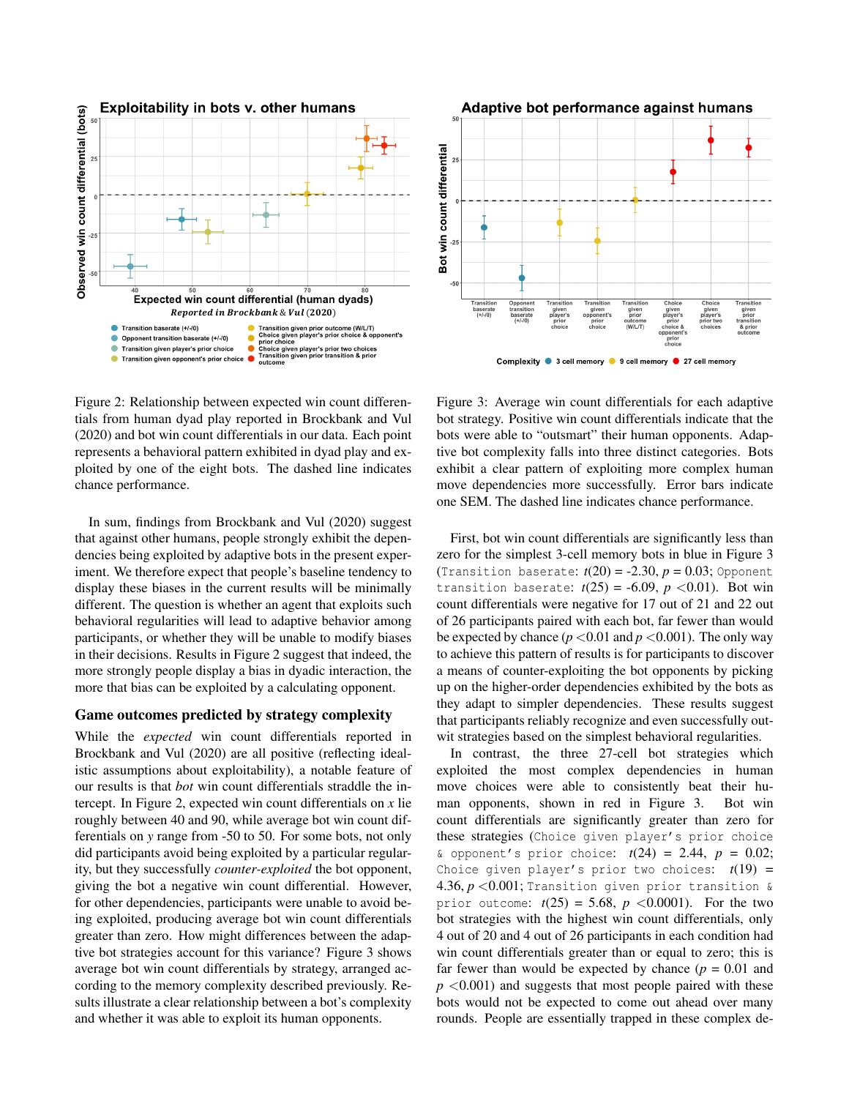

Figure 2: Relationship between expected win count differentials from human dyad play reported in Brockbank and Vul (2020) and bot win count differentials in our data. Each point represents a behavioral pattern exhibited in dyad play and exploited by one of the eight bots. The dashed line indicates chance performance.

In sum, findings from Brockbank and Vul (2020) suggest that against other humans, people strongly exhibit the dependencies being exploited by adaptive bots in the present experiment. We therefore expect that people's baseline tendency to display these biases in the current results will be minimally different. The question is whether an agent that exploits such behavioral regularities will lead to adaptive behavior among participants, or whether they will be unable to modify biases in their decisions. Results in Figure 2 suggest that indeed, the more strongly people display a bias in dyadic interaction, the more that bias can be exploited by a calculating opponent.

#### Game outcomes predicted by strategy complexity

While the *expected* win count differentials reported in Brockbank and Vul (2020) are all positive (reflecting idealistic assumptions about exploitability), a notable feature of our results is that *bot* win count differentials straddle the intercept. In Figure 2, expected win count differentials on *x* lie roughly between 40 and 90, while average bot win count differentials on *y* range from -50 to 50. For some bots, not only did participants avoid being exploited by a particular regularity, but they successfully *counter-exploited* the bot opponent, giving the bot a negative win count differential. However, for other dependencies, participants were unable to avoid being exploited, producing average bot win count differentials greater than zero. How might differences between the adaptive bot strategies account for this variance? Figure 3 shows average bot win count differentials by strategy, arranged according to the memory complexity described previously. Results illustrate a clear relationship between a bot's complexity and whether it was able to exploit its human opponents.



Figure 3: Average win count differentials for each adaptive bot strategy. Positive win count differentials indicate that the bots were able to "outsmart" their human opponents. Adaptive bot complexity falls into three distinct categories. Bots exhibit a clear pattern of exploiting more complex human move dependencies more successfully. Error bars indicate one SEM. The dashed line indicates chance performance.

First, bot win count differentials are significantly less than zero for the simplest 3-cell memory bots in blue in Figure 3 (Transition baserate:  $t(20) = -2.30$ ,  $p = 0.03$ ; Opponent transition baserate:  $t(25) = -6.09$ ,  $p < 0.01$ ). Bot win count differentials were negative for 17 out of 21 and 22 out of 26 participants paired with each bot, far fewer than would be expected by chance  $(p < 0.01$  and  $p < 0.001$ ). The only way to achieve this pattern of results is for participants to discover a means of counter-exploiting the bot opponents by picking up on the higher-order dependencies exhibited by the bots as they adapt to simpler dependencies. These results suggest that participants reliably recognize and even successfully outwit strategies based on the simplest behavioral regularities.

In contrast, the three 27-cell bot strategies which exploited the most complex dependencies in human move choices were able to consistently beat their human opponents, shown in red in Figure 3. Bot win count differentials are significantly greater than zero for these strategies (Choice given player's prior choice & opponent's prior choice: *t*(24) = 2.44, *p* = 0.02; Choice given player's prior two choices:  $t(19) =$ 4.36,  $p < 0.001$ ; Transition given prior transition & prior outcome:  $t(25) = 5.68$ ,  $p < 0.0001$ ). For the two bot strategies with the highest win count differentials, only 4 out of 20 and 4 out of 26 participants in each condition had win count differentials greater than or equal to zero; this is far fewer than would be expected by chance  $(p = 0.01$  and  $p \leq 0.001$ ) and suggests that most people paired with these bots would not be expected to come out ahead over many rounds. People are essentially trapped in these complex de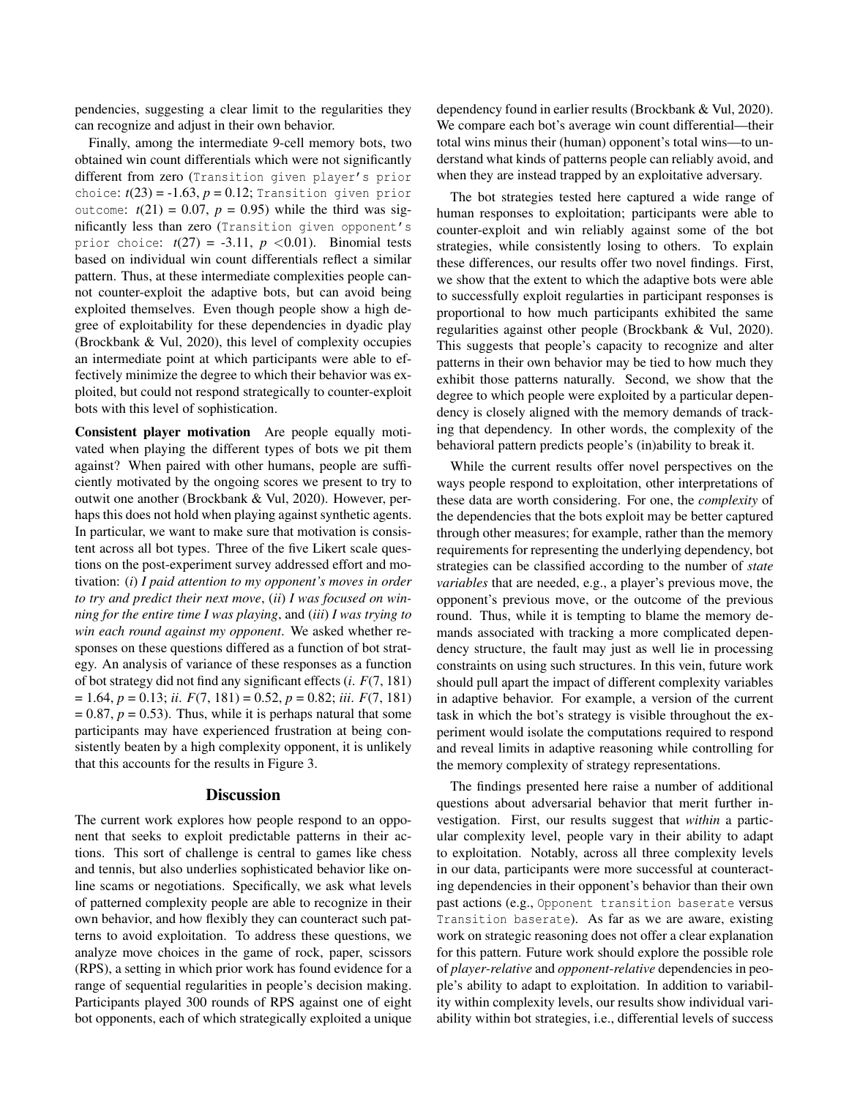pendencies, suggesting a clear limit to the regularities they can recognize and adjust in their own behavior.

Finally, among the intermediate 9-cell memory bots, two obtained win count differentials which were not significantly different from zero (Transition given player's prior choice:  $t(23) = -1.63$ ,  $p = 0.12$ ; Transition given prior outcome:  $t(21) = 0.07$ ,  $p = 0.95$ ) while the third was significantly less than zero (Transition given opponent's prior choice:  $t(27) = -3.11$ ,  $p < 0.01$ ). Binomial tests based on individual win count differentials reflect a similar pattern. Thus, at these intermediate complexities people cannot counter-exploit the adaptive bots, but can avoid being exploited themselves. Even though people show a high degree of exploitability for these dependencies in dyadic play (Brockbank & Vul, 2020), this level of complexity occupies an intermediate point at which participants were able to effectively minimize the degree to which their behavior was exploited, but could not respond strategically to counter-exploit bots with this level of sophistication.

Consistent player motivation Are people equally motivated when playing the different types of bots we pit them against? When paired with other humans, people are sufficiently motivated by the ongoing scores we present to try to outwit one another (Brockbank & Vul, 2020). However, perhaps this does not hold when playing against synthetic agents. In particular, we want to make sure that motivation is consistent across all bot types. Three of the five Likert scale questions on the post-experiment survey addressed effort and motivation: (*i*) *I paid attention to my opponent's moves in order to try and predict their next move*, (*ii*) *I was focused on winning for the entire time I was playing*, and (*iii*) *I was trying to win each round against my opponent*. We asked whether responses on these questions differed as a function of bot strategy. An analysis of variance of these responses as a function of bot strategy did not find any significant effects (*i*. *F*(7, 181) = 1.64, *p* = 0.13; *ii*. *F*(7, 181) = 0.52, *p* = 0.82; *iii*. *F*(7, 181)  $= 0.87, p = 0.53$ . Thus, while it is perhaps natural that some participants may have experienced frustration at being consistently beaten by a high complexity opponent, it is unlikely that this accounts for the results in Figure 3.

### **Discussion**

The current work explores how people respond to an opponent that seeks to exploit predictable patterns in their actions. This sort of challenge is central to games like chess and tennis, but also underlies sophisticated behavior like online scams or negotiations. Specifically, we ask what levels of patterned complexity people are able to recognize in their own behavior, and how flexibly they can counteract such patterns to avoid exploitation. To address these questions, we analyze move choices in the game of rock, paper, scissors (RPS), a setting in which prior work has found evidence for a range of sequential regularities in people's decision making. Participants played 300 rounds of RPS against one of eight bot opponents, each of which strategically exploited a unique dependency found in earlier results (Brockbank & Vul, 2020). We compare each bot's average win count differential—their total wins minus their (human) opponent's total wins—to understand what kinds of patterns people can reliably avoid, and when they are instead trapped by an exploitative adversary.

The bot strategies tested here captured a wide range of human responses to exploitation; participants were able to counter-exploit and win reliably against some of the bot strategies, while consistently losing to others. To explain these differences, our results offer two novel findings. First, we show that the extent to which the adaptive bots were able to successfully exploit regularties in participant responses is proportional to how much participants exhibited the same regularities against other people (Brockbank & Vul, 2020). This suggests that people's capacity to recognize and alter patterns in their own behavior may be tied to how much they exhibit those patterns naturally. Second, we show that the degree to which people were exploited by a particular dependency is closely aligned with the memory demands of tracking that dependency. In other words, the complexity of the behavioral pattern predicts people's (in)ability to break it.

While the current results offer novel perspectives on the ways people respond to exploitation, other interpretations of these data are worth considering. For one, the *complexity* of the dependencies that the bots exploit may be better captured through other measures; for example, rather than the memory requirements for representing the underlying dependency, bot strategies can be classified according to the number of *state variables* that are needed, e.g., a player's previous move, the opponent's previous move, or the outcome of the previous round. Thus, while it is tempting to blame the memory demands associated with tracking a more complicated dependency structure, the fault may just as well lie in processing constraints on using such structures. In this vein, future work should pull apart the impact of different complexity variables in adaptive behavior. For example, a version of the current task in which the bot's strategy is visible throughout the experiment would isolate the computations required to respond and reveal limits in adaptive reasoning while controlling for the memory complexity of strategy representations.

The findings presented here raise a number of additional questions about adversarial behavior that merit further investigation. First, our results suggest that *within* a particular complexity level, people vary in their ability to adapt to exploitation. Notably, across all three complexity levels in our data, participants were more successful at counteracting dependencies in their opponent's behavior than their own past actions (e.g., Opponent transition baserate versus Transition baserate). As far as we are aware, existing work on strategic reasoning does not offer a clear explanation for this pattern. Future work should explore the possible role of *player-relative* and *opponent-relative* dependencies in people's ability to adapt to exploitation. In addition to variability within complexity levels, our results show individual variability within bot strategies, i.e., differential levels of success